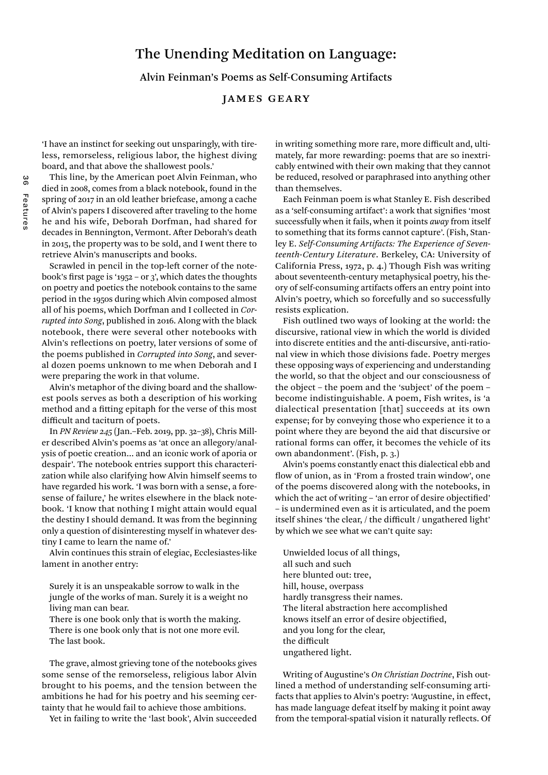# The Unending Meditation on Language:

Alvin Feinman's Poems as Self-Consuming Artifacts

## James Geary

'I have an instinct for seeking out unsparingly, with tireless, remorseless, religious labor, the highest diving board, and that above the shallowest pools.'

This line, by the American poet Alvin Feinman, who died in 2008, comes from a black notebook, found in the spring of 2017 in an old leather briefcase, among a cache of Alvin's papers I discovered after traveling to the home he and his wife, Deborah Dorfman, had shared for decades in Bennington, Vermont. After Deborah's death in 2015, the property was to be sold, and I went there to retrieve Alvin's manuscripts and books.

Scrawled in pencil in the top-left corner of the notebook's first page is '1952 – or 3', which dates the thoughts on poetry and poetics the notebook contains to the same period in the 1950s during which Alvin composed almost all of his poems, which Dorfman and I collected in *Corrupted into Song*, published in 2016. Along with the black notebook, there were several other notebooks with Alvin's reflections on poetry, later versions of some of the poems published in *Corrupted into Song*, and several dozen poems unknown to me when Deborah and I were preparing the work in that volume.

Alvin's metaphor of the diving board and the shallowest pools serves as both a description of his working method and a fitting epitaph for the verse of this most difficult and taciturn of poets.

In *PN Review 245* (Jan.–Feb. 2019, pp. 32–38), Chris Miller described Alvin's poems as 'at once an allegory/analysis of poetic creation… and an iconic work of aporia or despair'. The notebook entries support this characterization while also clarifying how Alvin himself seems to have regarded his work. 'I was born with a sense, a foresense of failure,' he writes elsewhere in the black notebook. 'I know that nothing I might attain would equal the destiny I should demand. It was from the beginning only a question of disinteresting myself in whatever destiny I came to learn the name of.'

Alvin continues this strain of elegiac, Ecclesiastes-like lament in another entry:

Surely it is an unspeakable sorrow to walk in the jungle of the works of man. Surely it is a weight no living man can bear.

There is one book only that is worth the making. There is one book only that is not one more evil. The last book.

The grave, almost grieving tone of the notebooks gives some sense of the remorseless, religious labor Alvin brought to his poems, and the tension between the ambitions he had for his poetry and his seeming certainty that he would fail to achieve those ambitions.

Yet in failing to write the 'last book', Alvin succeeded

in writing something more rare, more difficult and, ultimately, far more rewarding: poems that are so inextricably entwined with their own making that they cannot be reduced, resolved or paraphrased into anything other than themselves.

Each Feinman poem is what Stanley E. Fish described as a 'self-consuming artifact': a work that signifies 'most successfully when it fails, when it points *away* from itself to something that its forms cannot capture'. (Fish, Stanley E. *Self-Consuming Artifacts: The Experience of Seventeenth-Century Literature*. Berkeley, CA: University of California Press, 1972, p. 4.) Though Fish was writing about seventeenth-century metaphysical poetry, his theory of self-consuming artifacts offers an entry point into Alvin's poetry, which so forcefully and so successfully resists explication.

Fish outlined two ways of looking at the world: the discursive, rational view in which the world is divided into discrete entities and the anti-discursive, anti-rational view in which those divisions fade. Poetry merges these opposing ways of experiencing and understanding the world, so that the object and our consciousness of the object – the poem and the 'subject' of the poem – become indistinguishable. A poem, Fish writes, is 'a dialectical presentation [that] succeeds at its own expense; for by conveying those who experience it to a point where they are beyond the aid that discursive or rational forms can offer, it becomes the vehicle of its own abandonment'. (Fish, p. 3.)

Alvin's poems constantly enact this dialectical ebb and flow of union, as in 'From a frosted train window', one of the poems discovered along with the notebooks, in which the act of writing – 'an error of desire objectified' – is undermined even as it is articulated, and the poem itself shines 'the clear, / the difficult / ungathered light' by which we see what we can't quite say:

Unwielded locus of all things, all such and such here blunted out: tree, hill, house, overpass hardly transgress their names. The literal abstraction here accomplished knows itself an error of desire objectified, and you long for the clear, the difficult ungathered light.

Writing of Augustine's *On Christian Doctrine*, Fish outlined a method of understanding self-consuming artifacts that applies to Alvin's poetry: 'Augustine, in effect, has made language defeat itself by making it point away from the temporal-spatial vision it naturally reflects. Of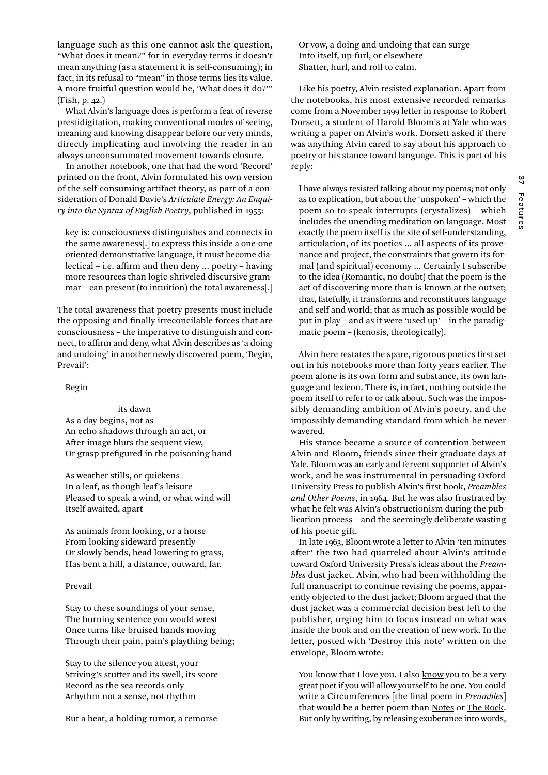language such as this one cannot ask the question, "What does it mean?" for in everyday terms it doesn't mean anything (as a statement it is self-consuming); in fact, in its refusal to "mean" in those terms lies its value. A more fruitful question would be, 'What does it do?'" (Fish, p. 42.)

What Alvin's language does is perform a feat of reverse prestidigitation, making conventional modes of seeing, meaning and knowing disappear before our very minds, directly implicating and involving the reader in an always unconsummated movement towards closure.

In another notebook, one that had the word 'Record' printed on the front, Alvin formulated his own version of the self-consuming artifact theory, as part of a consideration of Donald Davie's *Articulate Energy: An Enquiry into the Syntax of English Poetry*, published in 1955:

key is: consciousness distinguishes and connects in the same awareness[.] to express this inside a one-one oriented demonstrative language, it must become dialectical – i.e. affirm and then deny … poetry – having more resources than logic-shriveled discursive grammar – can present (to intuition) the total awareness[.]

The total awareness that poetry presents must include the opposing and finally irreconcilable forces that are consciousness – the imperative to distinguish and connect, to affirm and deny, what Alvin describes as 'a doing and undoing' in another newly discovered poem, 'Begin, Prevail':

Begin

 its dawn As a day begins, not as An echo shadows through an act, or After-image blurs the sequent view, Or grasp prefigured in the poisoning hand

As weather stills, or quickens In a leaf, as though leaf's leisure Pleased to speak a wind, or what wind will Itself awaited, apart

As animals from looking, or a horse From looking sideward presently Or slowly bends, head lowering to grass, Has bent a hill, a distance, outward, far.

#### Prevail

Stay to these soundings of your sense, The burning sentence you would wrest Once turns like bruised hands moving Through their pain, pain's plaything being;

Stay to the silence you attest, your Striving's stutter and its swell, its score Record as the sea records only Arhythm not a sense, not rhythm

But a beat, a holding rumor, a remorse

Or vow, a doing and undoing that can surge Into itself, up-furl, or elsewhere Shatter, hurl, and roll to calm.

Like his poetry, Alvin resisted explanation. Apart from the notebooks, his most extensive recorded remarks come from a November 1999 letter in response to Robert Dorsett, a student of Harold Bloom's at Yale who was writing a paper on Alvin's work. Dorsett asked if there was anything Alvin cared to say about his approach to poetry or his stance toward language. This is part of his reply:

I have always resisted talking about my poems; not only as to explication, but about the 'unspoken' – which the poem so-to-speak interrupts (crystalizes) – which includes the unending meditation on language. Most exactly the poem itself is the site of self-understanding, articulation, of its poetics … all aspects of its provenance and project, the constraints that govern its formal (and spiritual) economy … Certainly I subscribe to the idea (Romantic, no doubt) that the poem is the act of discovering more than is known at the outset; that, fatefully, it transforms and reconstitutes language and self and world; that as much as possible would be put in play – and as it were 'used up' – in the paradigmatic poem – (kenosis, theologically).

Alvin here restates the spare, rigorous poetics first set out in his notebooks more than forty years earlier. The poem alone is its own form and substance, its own language and lexicon. There is, in fact, nothing outside the poem itself to refer to or talk about. Such was the impossibly demanding ambition of Alvin's poetry, and the impossibly demanding standard from which he never wavered.

His stance became a source of contention between Alvin and Bloom, friends since their graduate days at Yale. Bloom was an early and fervent supporter of Alvin's work, and he was instrumental in persuading Oxford University Press to publish Alvin's first book, *Preambles and Other Poems*, in 1964. But he was also frustrated by what he felt was Alvin's obstructionism during the publication process – and the seemingly deliberate wasting of his poetic gift.

In late 1963, Bloom wrote a letter to Alvin 'ten minutes after' the two had quarreled about Alvin's attitude toward Oxford University Press's ideas about the *Preambles* dust jacket. Alvin, who had been withholding the full manuscript to continue revising the poems, apparently objected to the dust jacket; Bloom argued that the dust jacket was a commercial decision best left to the publisher, urging him to focus instead on what was inside the book and on the creation of new work. In the letter, posted with 'Destroy this note' written on the envelope, Bloom wrote:

You know that I love you. I also **know** you to be a very great poet if you will allow yourself to be one. You could write a Circumferences [the final poem in *Preambles*] that would be a better poem than Notes or The Rock. But only by writing, by releasing exuberance into words,